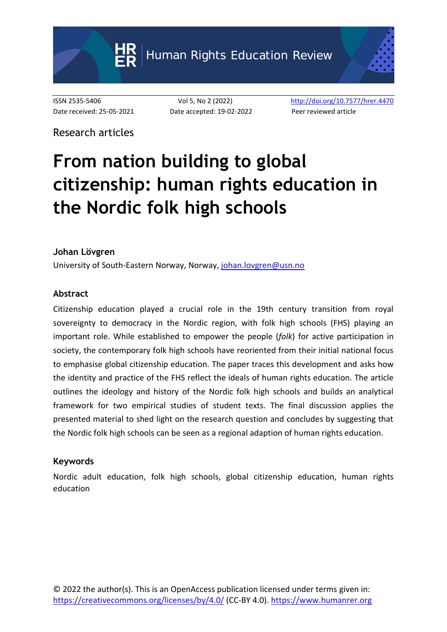Human Rights Education Review

Date received: 25-05-2021 Date accepted: 19-02-2022 Peer reviewed article

ISSN 2535-5406 Vol 5, No 2 (2022) <http://doi.org/10.7577/hrer.4470>

Research articles

# **From nation building to global citizenship: human rights education in the Nordic folk high schools**

#### **Johan Lövgren**

University of South-Eastern Norway, Norway, [johan.lovgren@usn.no](mailto:johan.lovgren@usn.no)

#### **Abstract**

Citizenship education played a crucial role in the 19th century transition from royal sovereignty to democracy in the Nordic region, with folk high schools (FHS) playing an important role. While established to empower the people (*folk*) for active participation in society, the contemporary folk high schools have reoriented from their initial national focus to emphasise global citizenship education. The paper traces this development and asks how the identity and practice of the FHS reflect the ideals of human rights education. The article outlines the ideology and history of the Nordic folk high schools and builds an analytical framework for two empirical studies of student texts. The final discussion applies the presented material to shed light on the research question and concludes by suggesting that the Nordic folk high schools can be seen as a regional adaption of human rights education.

#### **Keywords**

Nordic adult education, folk high schools, global citizenship education, human rights education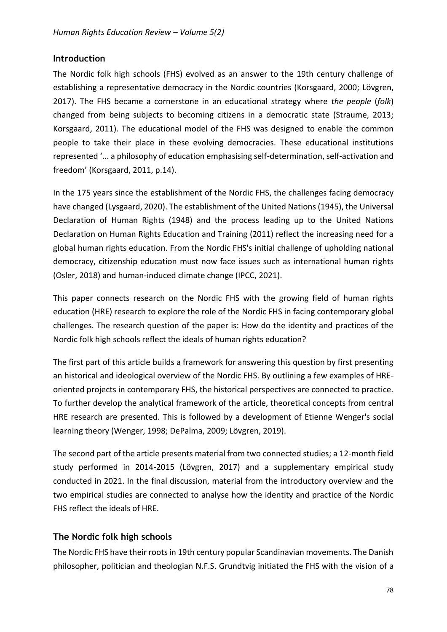## **Introduction**

The Nordic folk high schools (FHS) evolved as an answer to the 19th century challenge of establishing a representative democracy in the Nordic countries (Korsgaard, 2000; Lövgren, 2017). The FHS became a cornerstone in an educational strategy where *the people* (*folk*) changed from being subjects to becoming citizens in a democratic state (Straume, 2013; Korsgaard, 2011). The educational model of the FHS was designed to enable the common people to take their place in these evolving democracies. These educational institutions represented '... a philosophy of education emphasising self-determination, self-activation and freedom' (Korsgaard, 2011, p.14).

In the 175 years since the establishment of the Nordic FHS, the challenges facing democracy have changed (Lysgaard, 2020). The establishment of the United Nations (1945), the Universal Declaration of Human Rights (1948) and the process leading up to the United Nations Declaration on Human Rights Education and Training (2011) reflect the increasing need for a global human rights education. From the Nordic FHS's initial challenge of upholding national democracy, citizenship education must now face issues such as international human rights (Osler, 2018) and human-induced climate change (IPCC, 2021).

This paper connects research on the Nordic FHS with the growing field of human rights education (HRE) research to explore the role of the Nordic FHS in facing contemporary global challenges. The research question of the paper is: How do the identity and practices of the Nordic folk high schools reflect the ideals of human rights education?

The first part of this article builds a framework for answering this question by first presenting an historical and ideological overview of the Nordic FHS. By outlining a few examples of HREoriented projects in contemporary FHS, the historical perspectives are connected to practice. To further develop the analytical framework of the article, theoretical concepts from central HRE research are presented. This is followed by a development of Etienne Wenger's social learning theory (Wenger, 1998; DePalma, 2009; Lövgren, 2019).

The second part of the article presents material from two connected studies; a 12-month field study performed in 2014-2015 (Lövgren, 2017) and a supplementary empirical study conducted in 2021. In the final discussion, material from the introductory overview and the two empirical studies are connected to analyse how the identity and practice of the Nordic FHS reflect the ideals of HRE.

## **The Nordic folk high schools**

The Nordic FHS have their roots in 19th century popular Scandinavian movements. The Danish philosopher, politician and theologian N.F.S. Grundtvig initiated the FHS with the vision of a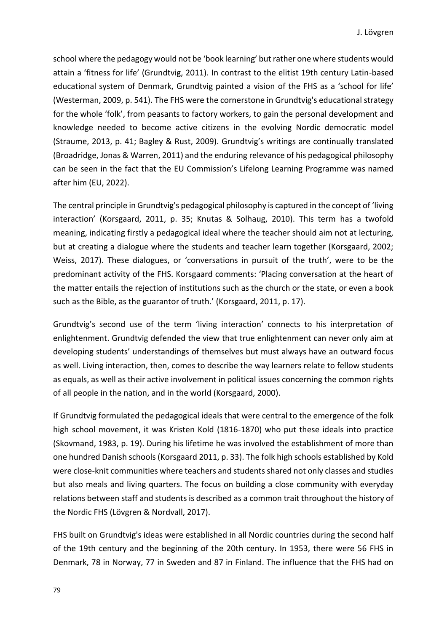school where the pedagogy would not be 'book learning' but rather one where students would attain a 'fitness for life' (Grundtvig, 2011). In contrast to the elitist 19th century Latin-based educational system of Denmark, Grundtvig painted a vision of the FHS as a 'school for life' (Westerman, 2009, p. 541). The FHS were the cornerstone in Grundtvig's educational strategy for the whole 'folk', from peasants to factory workers, to gain the personal development and knowledge needed to become active citizens in the evolving Nordic democratic model (Straume, 2013, p. 41; Bagley & Rust, 2009). Grundtvig's writings are continually translated (Broadridge, Jonas & Warren, 2011) and the enduring relevance of his pedagogical philosophy can be seen in the fact that the EU Commission's Lifelong Learning Programme was named after him (EU, 2022).

The central principle in Grundtvig's pedagogical philosophy is captured in the concept of 'living interaction' (Korsgaard, 2011, p. 35; Knutas & Solhaug, 2010). This term has a twofold meaning, indicating firstly a pedagogical ideal where the teacher should aim not at lecturing, but at creating a dialogue where the students and teacher learn together (Korsgaard, 2002; Weiss, 2017). These dialogues, or 'conversations in pursuit of the truth', were to be the predominant activity of the FHS. Korsgaard comments: 'Placing conversation at the heart of the matter entails the rejection of institutions such as the church or the state, or even a book such as the Bible, as the guarantor of truth.' (Korsgaard, 2011, p. 17).

Grundtvig's second use of the term 'living interaction' connects to his interpretation of enlightenment. Grundtvig defended the view that true enlightenment can never only aim at developing students' understandings of themselves but must always have an outward focus as well. Living interaction, then, comes to describe the way learners relate to fellow students as equals, as well as their active involvement in political issues concerning the common rights of all people in the nation, and in the world (Korsgaard, 2000).

If Grundtvig formulated the pedagogical ideals that were central to the emergence of the folk high school movement, it was Kristen Kold (1816-1870) who put these ideals into practice (Skovmand, 1983, p. 19). During his lifetime he was involved the establishment of more than one hundred Danish schools (Korsgaard 2011, p. 33). The folk high schools established by Kold were close-knit communities where teachers and students shared not only classes and studies but also meals and living quarters. The focus on building a close community with everyday relations between staff and students is described as a common trait throughout the history of the Nordic FHS (Lövgren & Nordvall, 2017).

FHS built on Grundtvig's ideas were established in all Nordic countries during the second half of the 19th century and the beginning of the 20th century. In 1953, there were 56 FHS in Denmark, 78 in Norway, 77 in Sweden and 87 in Finland. The influence that the FHS had on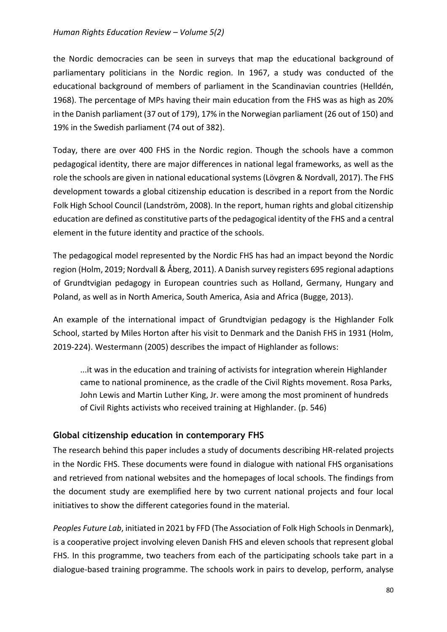the Nordic democracies can be seen in surveys that map the educational background of parliamentary politicians in the Nordic region. In 1967, a study was conducted of the educational background of members of parliament in the Scandinavian countries (Helldén, 1968). The percentage of MPs having their main education from the FHS was as high as 20% in the Danish parliament (37 out of 179), 17% in the Norwegian parliament (26 out of 150) and 19% in the Swedish parliament (74 out of 382).

Today, there are over 400 FHS in the Nordic region. Though the schools have a common pedagogical identity, there are major differences in national legal frameworks, as well as the role the schools are given in national educational systems (Lövgren & Nordvall, 2017). The FHS development towards a global citizenship education is described in a report from the Nordic Folk High School Council (Landström, 2008). In the report, human rights and global citizenship education are defined as constitutive parts of the pedagogical identity of the FHS and a central element in the future identity and practice of the schools.

The pedagogical model represented by the Nordic FHS has had an impact beyond the Nordic region (Holm, 2019; Nordvall & Åberg, 2011). A Danish survey registers 695 regional adaptions of Grundtvigian pedagogy in European countries such as Holland, Germany, Hungary and Poland, as well as in North America, South America, Asia and Africa (Bugge, 2013).

An example of the international impact of Grundtvigian pedagogy is the Highlander Folk School, started by Miles Horton after his visit to Denmark and the Danish FHS in 1931 (Holm, 2019-224). Westermann (2005) describes the impact of Highlander as follows:

...it was in the education and training of activists for integration wherein Highlander came to national prominence, as the cradle of the Civil Rights movement. Rosa Parks, John Lewis and Martin Luther King, Jr. were among the most prominent of hundreds of Civil Rights activists who received training at Highlander. (p. 546)

# **Global citizenship education in contemporary FHS**

The research behind this paper includes a study of documents describing HR-related projects in the Nordic FHS. These documents were found in dialogue with national FHS organisations and retrieved from national websites and the homepages of local schools. The findings from the document study are exemplified here by two current national projects and four local initiatives to show the different categories found in the material.

Peoples Future Lab, initiated in 2021 by FFD (The Association of Folk High Schools in Denmark), is a cooperative project involving eleven Danish FHS and eleven schools that represent global FHS. In this programme, two teachers from each of the participating schools take part in a dialogue-based training programme. The schools work in pairs to develop, perform, analyse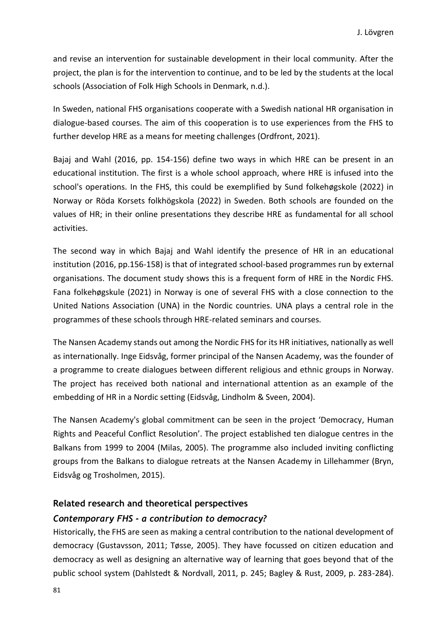and revise an intervention for sustainable development in their local community. After the project, the plan is for the intervention to continue, and to be led by the students at the local schools (Association of Folk High Schools in Denmark, n.d.).

In Sweden, national FHS organisations cooperate with a Swedish national HR organisation in dialogue-based courses. The aim of this cooperation is to use experiences from the FHS to further develop HRE as a means for meeting challenges (Ordfront, 2021).

Bajaj and Wahl (2016, pp. 154-156) define two ways in which HRE can be present in an educational institution. The first is a whole school approach, where HRE is infused into the school's operations. In the FHS, this could be exemplified by Sund folkehøgskole (2022) in Norway or Röda Korsets folkhögskola (2022) in Sweden. Both schools are founded on the values of HR; in their online presentations they describe HRE as fundamental for all school activities.

The second way in which Bajaj and Wahl identify the presence of HR in an educational institution (2016, pp.156-158) is that of integrated school-based programmes run by external organisations. The document study shows this is a frequent form of HRE in the Nordic FHS. Fana folkehøgskule (2021) in Norway is one of several FHS with a close connection to the United Nations Association (UNA) in the Nordic countries. UNA plays a central role in the programmes of these schools through HRE-related seminars and courses.

The Nansen Academy stands out among the Nordic FHS for its HR initiatives, nationally as well as internationally. Inge Eidsvåg, former principal of the Nansen Academy, was the founder of a programme to create dialogues between different religious and ethnic groups in Norway. The project has received both national and international attention as an example of the embedding of HR in a Nordic setting (Eidsvåg, Lindholm & Sveen, 2004).

The Nansen Academy's global commitment can be seen in the project 'Democracy, Human Rights and Peaceful Conflict Resolution'. The project established ten dialogue centres in the Balkans from 1999 to 2004 (Milas, 2005). The programme also included inviting conflicting groups from the Balkans to dialogue retreats at the Nansen Academy in Lillehammer (Bryn, Eidsvåg og Trosholmen, 2015).

#### **Related research and theoretical perspectives**

#### *Contemporary FHS - a contribution to democracy?*

Historically, the FHS are seen as making a central contribution to the national development of democracy (Gustavsson, 2011; Tøsse, 2005). They have focussed on citizen education and democracy as well as designing an alternative way of learning that goes beyond that of the public school system (Dahlstedt & Nordvall, 2011, p. 245; Bagley & Rust, 2009, p. 283-284).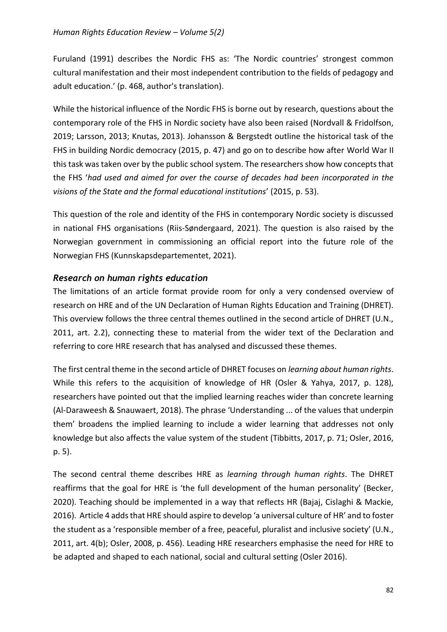Furuland (1991) describes the Nordic FHS as: 'The Nordic countries' strongest common cultural manifestation and their most independent contribution to the fields of pedagogy and adult education.' (p. 468, author's translation).

While the historical influence of the Nordic FHS is borne out by research, questions about the contemporary role of the FHS in Nordic society have also been raised (Nordvall & Fridolfson, 2019; Larsson, 2013; Knutas, 2013). Johansson & Bergstedt outline the historical task of the FHS in building Nordic democracy (2015, p. 47) and go on to describe how after World War II this task was taken over by the public school system. The researchers show how concepts that the FHS '*had used and aimed for over the course of decades had been incorporated in the visions of the State and the formal educational institutions*' (2015, p. 53).

This question of the role and identity of the FHS in contemporary Nordic society is discussed in national FHS organisations (Riis-Søndergaard, 2021). The question is also raised by the Norwegian government in commissioning an official report into the future role of the Norwegian FHS (Kunnskapsdepartementet, 2021).

## *Research on human rights education*

The limitations of an article format provide room for only a very condensed overview of research on HRE and of the UN Declaration of Human Rights Education and Training (DHRET). This overview follows the three central themes outlined in the second article of DHRET (U.N., 2011, art. 2.2), connecting these to material from the wider text of the Declaration and referring to core HRE research that has analysed and discussed these themes.

The first central theme in the second article of DHRET focuses on *learning about human rights*. While this refers to the acquisition of knowledge of HR (Osler & Yahya, 2017, p. 128), researchers have pointed out that the implied learning reaches wider than concrete learning (Al-Daraweesh & Snauwaert, 2018). The phrase 'Understanding ... of the values that underpin them' broadens the implied learning to include a wider learning that addresses not only knowledge but also affects the value system of the student (Tibbitts, 2017, p. 71; Osler, 2016, p. 5).

The second central theme describes HRE as *learning through human rights*. The DHRET reaffirms that the goal for HRE is 'the full development of the human personality' (Becker, 2020). Teaching should be implemented in a way that reflects HR (Bajaj, Cislaghi & Mackie, 2016). Article 4 adds that HRE should aspire to develop 'a universal culture of HR' and to foster the student as a 'responsible member of a free, peaceful, pluralist and inclusive society' (U.N., 2011, art. 4(b); Osler, 2008, p. 456). Leading HRE researchers emphasise the need for HRE to be adapted and shaped to each national, social and cultural setting (Osler 2016).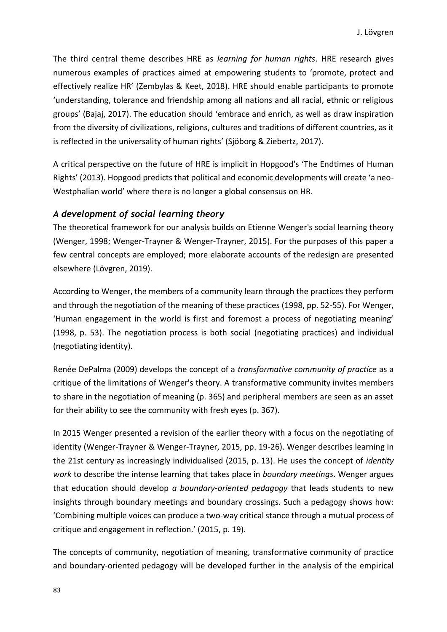The third central theme describes HRE as *learning for human rights*. HRE research gives numerous examples of practices aimed at empowering students to 'promote, protect and effectively realize HR' (Zembylas & Keet, 2018). HRE should enable participants to promote 'understanding, tolerance and friendship among all nations and all racial, ethnic or religious groups' (Bajaj, 2017). The education should 'embrace and enrich, as well as draw inspiration from the diversity of civilizations, religions, cultures and traditions of different countries, as it is reflected in the universality of human rights' (Sjöborg & Ziebertz, 2017).

A critical perspective on the future of HRE is implicit in Hopgood's 'The Endtimes of Human Rights' (2013). Hopgood predicts that political and economic developments will create 'a neo-Westphalian world' where there is no longer a global consensus on HR.

## *A development of social learning theory*

The theoretical framework for our analysis builds on Etienne Wenger's social learning theory (Wenger, 1998; Wenger-Trayner & Wenger-Trayner, 2015). For the purposes of this paper a few central concepts are employed; more elaborate accounts of the redesign are presented elsewhere (Lövgren, 2019).

According to Wenger, the members of a community learn through the practices they perform and through the negotiation of the meaning of these practices (1998, pp. 52-55). For Wenger, 'Human engagement in the world is first and foremost a process of negotiating meaning' (1998, p. 53). The negotiation process is both social (negotiating practices) and individual (negotiating identity).

Renée DePalma (2009) develops the concept of a *transformative community of practice* as a critique of the limitations of Wenger's theory. A transformative community invites members to share in the negotiation of meaning (p. 365) and peripheral members are seen as an asset for their ability to see the community with fresh eyes (p. 367).

In 2015 Wenger presented a revision of the earlier theory with a focus on the negotiating of identity (Wenger-Trayner & Wenger-Trayner, 2015, pp. 19-26). Wenger describes learning in the 21st century as increasingly individualised (2015, p. 13). He uses the concept of *identity work* to describe the intense learning that takes place in *boundary meetings*. Wenger argues that education should develop *a boundary-oriented pedagogy* that leads students to new insights through boundary meetings and boundary crossings. Such a pedagogy shows how: 'Combining multiple voices can produce a two-way critical stance through a mutual process of critique and engagement in reflection.' (2015, p. 19).

The concepts of community, negotiation of meaning, transformative community of practice and boundary-oriented pedagogy will be developed further in the analysis of the empirical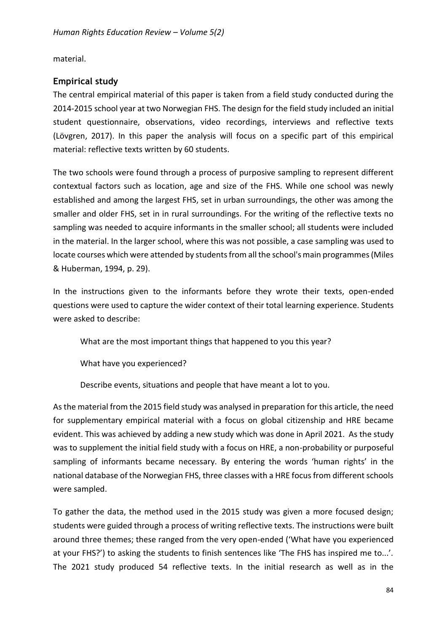material.

# **Empirical study**

The central empirical material of this paper is taken from a field study conducted during the 2014-2015 school year at two Norwegian FHS. The design for the field study included an initial student questionnaire, observations, video recordings, interviews and reflective texts (Lövgren, 2017). In this paper the analysis will focus on a specific part of this empirical material: reflective texts written by 60 students.

The two schools were found through a process of purposive sampling to represent different contextual factors such as location, age and size of the FHS. While one school was newly established and among the largest FHS, set in urban surroundings, the other was among the smaller and older FHS, set in in rural surroundings. For the writing of the reflective texts no sampling was needed to acquire informants in the smaller school; all students were included in the material. In the larger school, where this was not possible, a case sampling was used to locate courses which were attended by students from all the school's main programmes (Miles & Huberman, 1994, p. 29).

In the instructions given to the informants before they wrote their texts, open-ended questions were used to capture the wider context of their total learning experience. Students were asked to describe:

What are the most important things that happened to you this year?

What have you experienced?

Describe events, situations and people that have meant a lot to you.

As the material from the 2015 field study was analysed in preparation for this article, the need for supplementary empirical material with a focus on global citizenship and HRE became evident. This was achieved by adding a new study which was done in April 2021. As the study was to supplement the initial field study with a focus on HRE, a non-probability or purposeful sampling of informants became necessary. By entering the words 'human rights' in the national database of the Norwegian FHS, three classes with a HRE focus from different schools were sampled.

To gather the data, the method used in the 2015 study was given a more focused design; students were guided through a process of writing reflective texts. The instructions were built around three themes; these ranged from the very open-ended ('What have you experienced at your FHS?') to asking the students to finish sentences like 'The FHS has inspired me to...'. The 2021 study produced 54 reflective texts. In the initial research as well as in the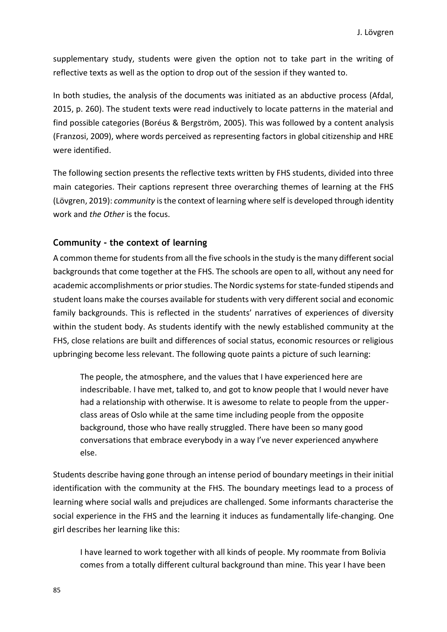supplementary study, students were given the option not to take part in the writing of reflective texts as well as the option to drop out of the session if they wanted to.

In both studies, the analysis of the documents was initiated as an abductive process (Afdal, 2015, p. 260). The student texts were read inductively to locate patterns in the material and find possible categories (Boréus & Bergström, 2005). This was followed by a content analysis (Franzosi, 2009), where words perceived as representing factors in global citizenship and HRE were identified.

The following section presents the reflective texts written by FHS students, divided into three main categories. Their captions represent three overarching themes of learning at the FHS (Lövgren, 2019): *community* is the context of learning where self is developed through identity work and *the Other* is the focus.

#### **Community - the context of learning**

A common theme for students from all the five schools in the study is the many different social backgrounds that come together at the FHS. The schools are open to all, without any need for academic accomplishments or prior studies. The Nordic systems for state-funded stipends and student loans make the courses available for students with very different social and economic family backgrounds. This is reflected in the students' narratives of experiences of diversity within the student body. As students identify with the newly established community at the FHS, close relations are built and differences of social status, economic resources or religious upbringing become less relevant. The following quote paints a picture of such learning:

The people, the atmosphere, and the values that I have experienced here are indescribable. I have met, talked to, and got to know people that I would never have had a relationship with otherwise. It is awesome to relate to people from the upperclass areas of Oslo while at the same time including people from the opposite background, those who have really struggled. There have been so many good conversations that embrace everybody in a way I've never experienced anywhere else.

Students describe having gone through an intense period of boundary meetings in their initial identification with the community at the FHS. The boundary meetings lead to a process of learning where social walls and prejudices are challenged. Some informants characterise the social experience in the FHS and the learning it induces as fundamentally life-changing. One girl describes her learning like this:

I have learned to work together with all kinds of people. My roommate from Bolivia comes from a totally different cultural background than mine. This year I have been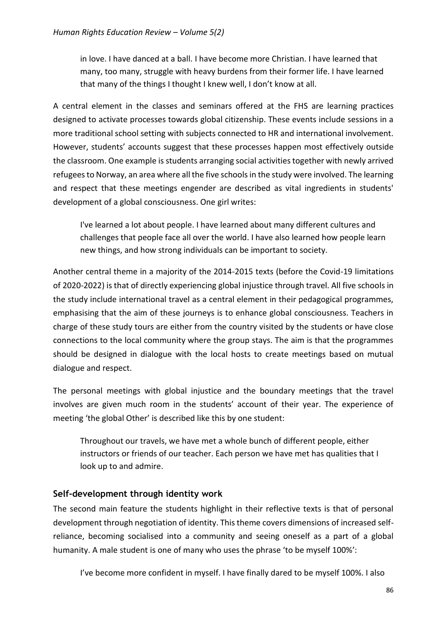in love. I have danced at a ball. I have become more Christian. I have learned that many, too many, struggle with heavy burdens from their former life. I have learned that many of the things I thought I knew well, I don't know at all.

A central element in the classes and seminars offered at the FHS are learning practices designed to activate processes towards global citizenship. These events include sessions in a more traditional school setting with subjects connected to HR and international involvement. However, students' accounts suggest that these processes happen most effectively outside the classroom. One example is students arranging social activities together with newly arrived refugees to Norway, an area where all the five schools in the study were involved. The learning and respect that these meetings engender are described as vital ingredients in students' development of a global consciousness. One girl writes:

I've learned a lot about people. I have learned about many different cultures and challenges that people face all over the world. I have also learned how people learn new things, and how strong individuals can be important to society.

Another central theme in a majority of the 2014-2015 texts (before the Covid-19 limitations of 2020-2022) is that of directly experiencing global injustice through travel. All five schools in the study include international travel as a central element in their pedagogical programmes, emphasising that the aim of these journeys is to enhance global consciousness. Teachers in charge of these study tours are either from the country visited by the students or have close connections to the local community where the group stays. The aim is that the programmes should be designed in dialogue with the local hosts to create meetings based on mutual dialogue and respect.

The personal meetings with global injustice and the boundary meetings that the travel involves are given much room in the students' account of their year. The experience of meeting 'the global Other' is described like this by one student:

Throughout our travels, we have met a whole bunch of different people, either instructors or friends of our teacher. Each person we have met has qualities that I look up to and admire.

## **Self-development through identity work**

The second main feature the students highlight in their reflective texts is that of personal development through negotiation of identity. This theme covers dimensions of increased selfreliance, becoming socialised into a community and seeing oneself as a part of a global humanity. A male student is one of many who uses the phrase 'to be myself 100%':

I've become more confident in myself. I have finally dared to be myself 100%. I also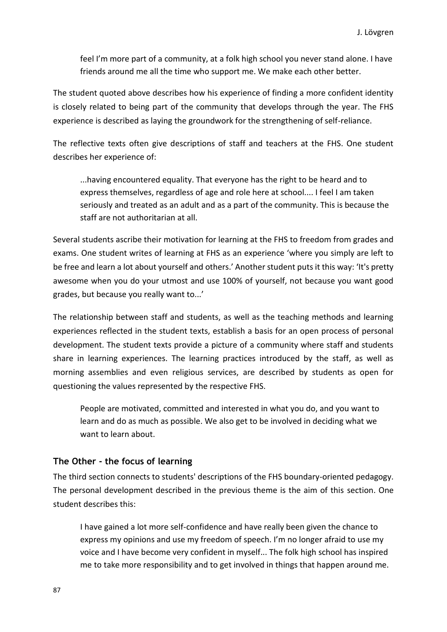feel I'm more part of a community, at a folk high school you never stand alone. I have friends around me all the time who support me. We make each other better.

The student quoted above describes how his experience of finding a more confident identity is closely related to being part of the community that develops through the year. The FHS experience is described as laying the groundwork for the strengthening of self-reliance.

The reflective texts often give descriptions of staff and teachers at the FHS. One student describes her experience of:

...having encountered equality. That everyone has the right to be heard and to express themselves, regardless of age and role here at school.... I feel I am taken seriously and treated as an adult and as a part of the community. This is because the staff are not authoritarian at all.

Several students ascribe their motivation for learning at the FHS to freedom from grades and exams. One student writes of learning at FHS as an experience 'where you simply are left to be free and learn a lot about yourself and others.' Another student puts it this way: 'It's pretty awesome when you do your utmost and use 100% of yourself, not because you want good grades, but because you really want to...'

The relationship between staff and students, as well as the teaching methods and learning experiences reflected in the student texts, establish a basis for an open process of personal development. The student texts provide a picture of a community where staff and students share in learning experiences. The learning practices introduced by the staff, as well as morning assemblies and even religious services, are described by students as open for questioning the values represented by the respective FHS.

People are motivated, committed and interested in what you do, and you want to learn and do as much as possible. We also get to be involved in deciding what we want to learn about.

#### **The Other - the focus of learning**

The third section connects to students' descriptions of the FHS boundary-oriented pedagogy. The personal development described in the previous theme is the aim of this section. One student describes this:

I have gained a lot more self-confidence and have really been given the chance to express my opinions and use my freedom of speech. I'm no longer afraid to use my voice and I have become very confident in myself... The folk high school has inspired me to take more responsibility and to get involved in things that happen around me.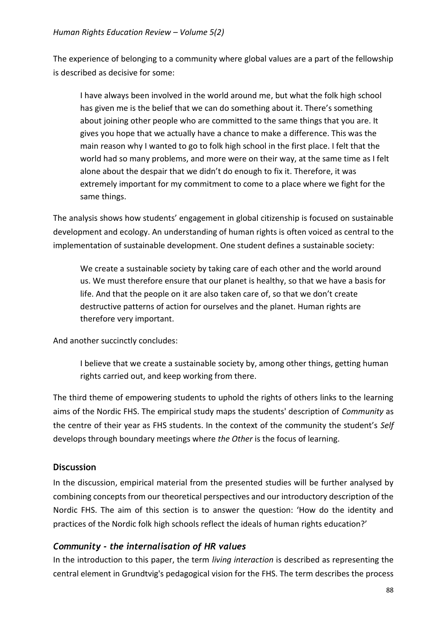The experience of belonging to a community where global values are a part of the fellowship is described as decisive for some:

I have always been involved in the world around me, but what the folk high school has given me is the belief that we can do something about it. There's something about joining other people who are committed to the same things that you are. It gives you hope that we actually have a chance to make a difference. This was the main reason why I wanted to go to folk high school in the first place. I felt that the world had so many problems, and more were on their way, at the same time as I felt alone about the despair that we didn't do enough to fix it. Therefore, it was extremely important for my commitment to come to a place where we fight for the same things.

The analysis shows how students' engagement in global citizenship is focused on sustainable development and ecology. An understanding of human rights is often voiced as central to the implementation of sustainable development. One student defines a sustainable society:

We create a sustainable society by taking care of each other and the world around us. We must therefore ensure that our planet is healthy, so that we have a basis for life. And that the people on it are also taken care of, so that we don't create destructive patterns of action for ourselves and the planet. Human rights are therefore very important.

And another succinctly concludes:

I believe that we create a sustainable society by, among other things, getting human rights carried out, and keep working from there.

The third theme of empowering students to uphold the rights of others links to the learning aims of the Nordic FHS. The empirical study maps the students' description of *Community* as the centre of their year as FHS students. In the context of the community the student's *Self* develops through boundary meetings where *the Other* is the focus of learning.

# **Discussion**

In the discussion, empirical material from the presented studies will be further analysed by combining concepts from our theoretical perspectives and our introductory description of the Nordic FHS. The aim of this section is to answer the question: 'How do the identity and practices of the Nordic folk high schools reflect the ideals of human rights education?'

# *Community - the internalisation of HR values*

In the introduction to this paper, the term *living interaction* is described as representing the central element in Grundtvig's pedagogical vision for the FHS. The term describes the process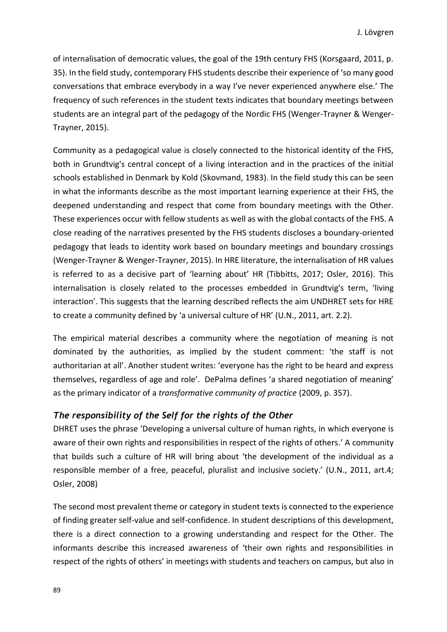of internalisation of democratic values, the goal of the 19th century FHS (Korsgaard, 2011, p. 35). In the field study, contemporary FHS students describe their experience of 'so many good conversations that embrace everybody in a way I've never experienced anywhere else.' The frequency of such references in the student texts indicates that boundary meetings between students are an integral part of the pedagogy of the Nordic FHS (Wenger-Trayner & Wenger-Trayner, 2015).

Community as a pedagogical value is closely connected to the historical identity of the FHS, both in Grundtvig's central concept of a living interaction and in the practices of the initial schools established in Denmark by Kold (Skovmand, 1983). In the field study this can be seen in what the informants describe as the most important learning experience at their FHS, the deepened understanding and respect that come from boundary meetings with the Other. These experiences occur with fellow students as well as with the global contacts of the FHS. A close reading of the narratives presented by the FHS students discloses a boundary-oriented pedagogy that leads to identity work based on boundary meetings and boundary crossings (Wenger-Trayner & Wenger-Trayner, 2015). In HRE literature, the internalisation of HR values is referred to as a decisive part of 'learning about' HR (Tibbitts, 2017; Osler, 2016). This internalisation is closely related to the processes embedded in Grundtvig's term, 'living interaction'. This suggests that the learning described reflects the aim UNDHRET sets for HRE to create a community defined by 'a universal culture of HR' (U.N., 2011, art. 2.2).

The empirical material describes a community where the negotiation of meaning is not dominated by the authorities, as implied by the student comment: 'the staff is not authoritarian at all'. Another student writes: 'everyone has the right to be heard and express themselves, regardless of age and role'. DePalma defines 'a shared negotiation of meaning' as the primary indicator of a *transformative community of practice* (2009, p. 357).

#### *The responsibility of the Self for the rights of the Other*

DHRET uses the phrase 'Developing a universal culture of human rights, in which everyone is aware of their own rights and responsibilities in respect of the rights of others.' A community that builds such a culture of HR will bring about 'the development of the individual as a responsible member of a free, peaceful, pluralist and inclusive society.' (U.N., 2011, art.4; Osler, 2008)

The second most prevalent theme or category in student texts is connected to the experience of finding greater self-value and self-confidence. In student descriptions of this development, there is a direct connection to a growing understanding and respect for the Other. The informants describe this increased awareness of 'their own rights and responsibilities in respect of the rights of others' in meetings with students and teachers on campus, but also in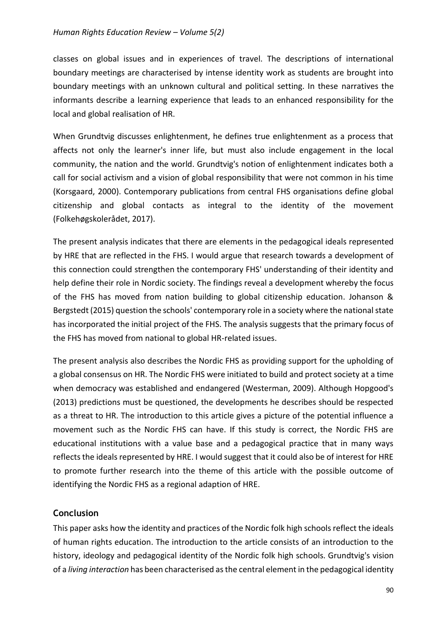classes on global issues and in experiences of travel. The descriptions of international boundary meetings are characterised by intense identity work as students are brought into boundary meetings with an unknown cultural and political setting. In these narratives the informants describe a learning experience that leads to an enhanced responsibility for the local and global realisation of HR.

When Grundtvig discusses enlightenment, he defines true enlightenment as a process that affects not only the learner's inner life, but must also include engagement in the local community, the nation and the world. Grundtvig's notion of enlightenment indicates both a call for social activism and a vision of global responsibility that were not common in his time (Korsgaard, 2000). Contemporary publications from central FHS organisations define global citizenship and global contacts as integral to the identity of the movement (Folkehøgskolerådet, 2017).

The present analysis indicates that there are elements in the pedagogical ideals represented by HRE that are reflected in the FHS. I would argue that research towards a development of this connection could strengthen the contemporary FHS' understanding of their identity and help define their role in Nordic society. The findings reveal a development whereby the focus of the FHS has moved from nation building to global citizenship education. Johanson & Bergstedt (2015) question the schools' contemporary role in a society where the national state has incorporated the initial project of the FHS. The analysis suggests that the primary focus of the FHS has moved from national to global HR-related issues.

The present analysis also describes the Nordic FHS as providing support for the upholding of a global consensus on HR. The Nordic FHS were initiated to build and protect society at a time when democracy was established and endangered (Westerman, 2009). Although Hopgood's (2013) predictions must be questioned, the developments he describes should be respected as a threat to HR. The introduction to this article gives a picture of the potential influence a movement such as the Nordic FHS can have. If this study is correct, the Nordic FHS are educational institutions with a value base and a pedagogical practice that in many ways reflects the ideals represented by HRE. I would suggest that it could also be of interest for HRE to promote further research into the theme of this article with the possible outcome of identifying the Nordic FHS as a regional adaption of HRE.

## **Conclusion**

This paper asks how the identity and practices of the Nordic folk high schools reflect the ideals of human rights education. The introduction to the article consists of an introduction to the history, ideology and pedagogical identity of the Nordic folk high schools. Grundtvig's vision of a *living interaction* has been characterised as the central element in the pedagogical identity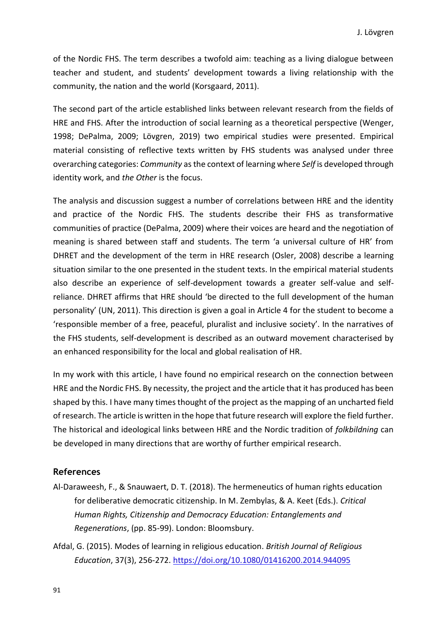of the Nordic FHS. The term describes a twofold aim: teaching as a living dialogue between teacher and student, and students' development towards a living relationship with the community, the nation and the world (Korsgaard, 2011).

The second part of the article established links between relevant research from the fields of HRE and FHS. After the introduction of social learning as a theoretical perspective (Wenger, 1998; DePalma, 2009; Lövgren, 2019) two empirical studies were presented. Empirical material consisting of reflective texts written by FHS students was analysed under three overarching categories: *Community* as the context of learning where *Self* is developed through identity work, and *the Other* is the focus.

The analysis and discussion suggest a number of correlations between HRE and the identity and practice of the Nordic FHS. The students describe their FHS as transformative communities of practice (DePalma, 2009) where their voices are heard and the negotiation of meaning is shared between staff and students. The term 'a universal culture of HR' from DHRET and the development of the term in HRE research (Osler, 2008) describe a learning situation similar to the one presented in the student texts. In the empirical material students also describe an experience of self-development towards a greater self-value and selfreliance. DHRET affirms that HRE should 'be directed to the full development of the human personality' (UN, 2011). This direction is given a goal in Article 4 for the student to become a 'responsible member of a free, peaceful, pluralist and inclusive society'. In the narratives of the FHS students, self-development is described as an outward movement characterised by an enhanced responsibility for the local and global realisation of HR.

In my work with this article, I have found no empirical research on the connection between HRE and the Nordic FHS. By necessity, the project and the article that it has produced has been shaped by this. I have many times thought of the project as the mapping of an uncharted field of research. The article is written in the hope that future research will explore the field further. The historical and ideological links between HRE and the Nordic tradition of *folkbildning* can be developed in many directions that are worthy of further empirical research.

#### **References**

- Al-Daraweesh, F., & Snauwaert, D. T. (2018). The hermeneutics of human rights education for deliberative democratic citizenship. In M. Zembylas, & A. Keet (Eds.). *Critical Human Rights, Citizenship and Democracy Education: Entanglements and Regenerations*, (pp. 85-99). London: Bloomsbury.
- Afdal, G. (2015). Modes of learning in religious education. *British Journal of Religious Education*, 37(3), 256-272. <https://doi.org/10.1080/01416200.2014.944095>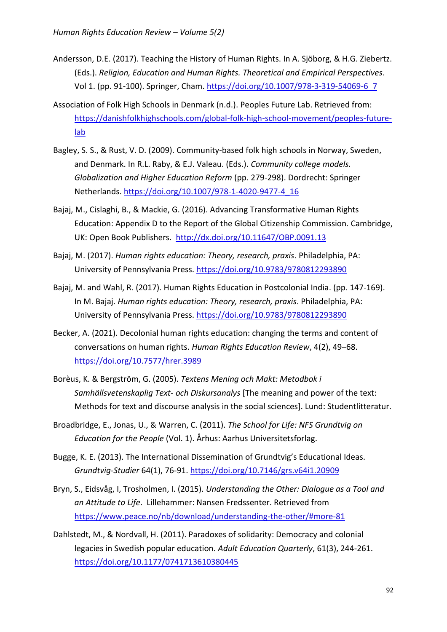- Andersson, D.E. (2017). Teaching the History of Human Rights. In A. Sjöborg, & H.G. Ziebertz. (Eds.). *Religion, Education and Human Rights. Theoretical and Empirical Perspectives*. Vol 1. (pp. 91-100). Springer, Cham. [https://doi.org/10.1007/978-3-319-54069-6\\_7](https://doi.org/10.1007/978-3-319-54069-6_7)
- Association of Folk High Schools in Denmark (n.d.). Peoples Future Lab. Retrieved from: [https://danishfolkhighschools.com/global-folk-high-school-movement/peoples-future](https://danishfolkhighschools.com/global-folk-high-school-movement/peoples-future-lab)[lab](https://danishfolkhighschools.com/global-folk-high-school-movement/peoples-future-lab)
- Bagley, S. S., & Rust, V. D. (2009). Community-based folk high schools in Norway, Sweden, and Denmark. In R.L. Raby, & E.J. Valeau. (Eds.). *Community college models. Globalization and Higher Education Reform* (pp. 279-298). Dordrecht: Springer Netherlands. [https://doi.org/10.1007/978-1-4020-9477-4\\_16](https://doi.org/10.1007/978-1-4020-9477-4_16)
- Bajaj, M., Cislaghi, B., & Mackie, G. (2016). Advancing Transformative Human Rights Education: Appendix D to the Report of the Global Citizenship Commission. Cambridge, UK: Open Book Publishers. <http://dx.doi.org/10.11647/OBP.0091.13>
- Bajaj, M. (2017). *Human rights education: Theory, research, praxis*. Philadelphia, PA: University of Pennsylvania Press.<https://doi.org/10.9783/9780812293890>
- Bajaj, M. and Wahl, R. (2017). Human Rights Education in Postcolonial India. (pp. 147-169). In M. Bajaj. *Human rights education: Theory, research, praxis*. Philadelphia, PA: University of Pennsylvania Press. <https://doi.org/10.9783/9780812293890>
- Becker, A. (2021). Decolonial human rights education: changing the terms and content of conversations on human rights. *Human Rights Education Review*, 4(2), 49–68. <https://doi.org/10.7577/hrer.3989>
- Borèus, K. & Bergström, G. (2005). *Textens Mening och Makt: Metodbok i Samhällsvetenskaplig Text- och Diskursanalys* [The meaning and power of the text: Methods for text and discourse analysis in the social sciences]. Lund: Studentlitteratur.
- Broadbridge, E., Jonas, U., & Warren, C. (2011). *The School for Life: NFS Grundtvig on Education for the People* (Vol. 1). Århus: Aarhus Universitetsforlag.
- Bugge, K. E. (2013). The International Dissemination of Grundtvig's Educational Ideas. *Grundtvig-Studier* 64(1), 76-91. <https://doi.org/10.7146/grs.v64i1.20909>
- Bryn, S., Eidsvåg, I, Trosholmen, I. (2015). *Understanding the Other: Dialogue as a Tool and an Attitude to Life*. Lillehammer: Nansen Fredssenter. Retrieved from <https://www.peace.no/nb/download/understanding-the-other/#more-81>
- Dahlstedt, M., & Nordvall, H. (2011). Paradoxes of solidarity: Democracy and colonial legacies in Swedish popular education. *Adult Education Quarterly*, 61(3), 244-261. <https://doi.org/10.1177/0741713610380445>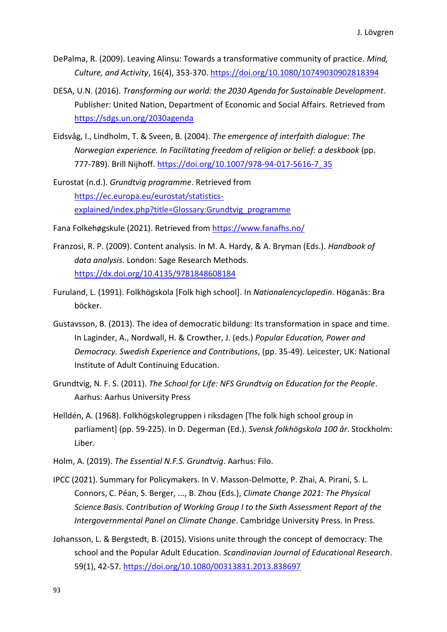- DePalma, R. (2009). Leaving Alinsu: Towards a transformative community of practice. *Mind, Culture, and Activity*, 16(4), 353-370.<https://doi.org/10.1080/10749030902818394>
- DESA, U.N. (2016). *Transforming our world: the 2030 Agenda for Sustainable Development*. Publisher: United Nation, Department of Economic and Social Affairs. Retrieved from <https://sdgs.un.org/2030agenda>
- Eidsvåg, I., Lindholm, T. & Sveen, B. (2004). *The emergence of interfaith dialogue: The Norwegian experience. In Facilitating freedom of religion or belief: a deskbook* (pp. 777-789). Brill Nijhoff. [https://doi.org/10.1007/978-94-017-5616-7\\_35](https://doi.org/10.1007/978-94-017-5616-7_35)
- Eurostat (n.d.). *Grundtvig programme*. Retrieved from [https://ec.europa.eu/eurostat/statistics](https://ec.europa.eu/eurostat/statistics-explained/index.php?title=Glossary:Grundtvig_programme)[explained/index.php?title=Glossary:Grundtvig\\_programme](https://ec.europa.eu/eurostat/statistics-explained/index.php?title=Glossary:Grundtvig_programme)
- Fana Folkehøgskule (2021). Retrieved fro[m https://www.fanafhs.no/](https://www.fanafhs.no/)
- Franzosi, R. P. (2009). Content analysis. In M. A. Hardy, & A. Bryman (Eds.). *Handbook of data analysis*. London: Sage Research Methods. <https://dx.doi.org/10.4135/9781848608184>
- Furuland, L. (1991). Folkhögskola [Folk high school]. In *Nationalencyclopedin*. Höganäs: Bra böcker.
- Gustavsson, B. (2013). The idea of democratic bildung: Its transformation in space and time. In Laginder, A., Nordwall, H. & Crowther, J. (eds.) *Popular Education, Power and Democracy. Swedish Experience and Contributions*, (pp. 35-49). Leicester, UK: National Institute of Adult Continuing Education.
- Grundtvig, N. F. S. (2011). *The School for Life: NFS Grundtvig on Education for the People*. Aarhus: Aarhus University Press
- Helldén, A. (1968). Folkhögskolegruppen i riksdagen [The folk high school group in parliament] (pp. 59-225). In D. Degerman (Ed.). *Svensk folkhögskola 100 år*. Stockholm: Liber.
- Holm, A. (2019). *The Essential N.F.S. Grundtvig*. Aarhus: Filo.
- IPCC (2021). Summary for Policymakers. In V. Masson-Delmotte, P. Zhai, A. Pirani, S. L. Connors, C. Péan, S. Berger, ..., B. Zhou (Eds.), *Climate Change 2021: The Physical Science Basis. Contribution of Working Group I to the Sixth Assessment Report of the Intergovernmental Panel on Climate Change*. Cambridge University Press. In Press.
- Johansson, L. & Bergstedt, B. (2015). Visions unite through the concept of democracy: The school and the Popular Adult Education. *Scandinavian Journal of Educational Research*. 59(1), 42-57. <https://doi.org/10.1080/00313831.2013.838697>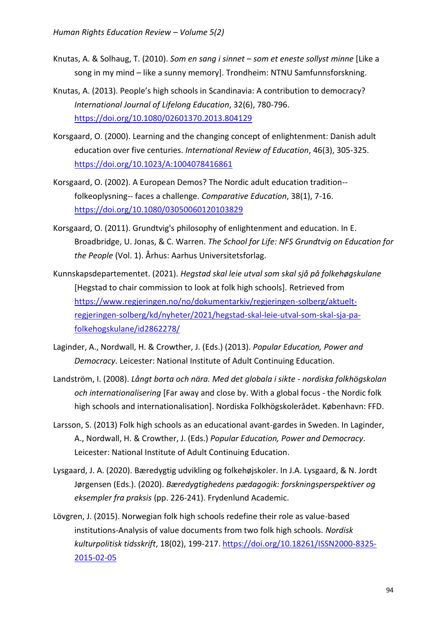- Knutas, A. & Solhaug, T. (2010). *Som en sang i sinnet – som et eneste sollyst minne* [Like a song in my mind – like a sunny memory]. Trondheim: NTNU Samfunnsforskning.
- Knutas, A. (2013). People's high schools in Scandinavia: A contribution to democracy? *International Journal of Lifelong Education*, 32(6), 780-796. <https://doi.org/10.1080/02601370.2013.804129>
- Korsgaard, O. (2000). Learning and the changing concept of enlightenment: Danish adult education over five centuries. *International Review of Education*, 46(3), 305-325. <https://doi.org/10.1023/A:1004078416861>
- Korsgaard, O. (2002). A European Demos? The Nordic adult education tradition- folkeoplysning-- faces a challenge. *Comparative Education*, 38(1), 7-16. <https://doi.org/10.1080/03050060120103829>
- Korsgaard, O. (2011). Grundtvig's philosophy of enlightenment and education. In E. Broadbridge, U. Jonas, & C. Warren. *The School for Life: NFS Grundtvig on Education for the People* (Vol. 1). Århus: Aarhus Universitetsforlag.
- Kunnskapsdepartementet. (2021). *Hegstad skal leie utval som skal sjå på folkehøgskulane* [Hegstad to chair commission to look at folk high schools]. Retrieved from [https://www.regjeringen.no/no/dokumentarkiv/regjeringen-solberg/aktuelt](https://www.regjeringen.no/no/dokumentarkiv/regjeringen-solberg/aktuelt-regjeringen-solberg/kd/nyheter/2021/hegstad-skal-leie-utval-som-skal-sja-pa-folkehogskulane/id2862278/)[regjeringen-solberg/kd/nyheter/2021/hegstad-skal-leie-utval-som-skal-sja-pa](https://www.regjeringen.no/no/dokumentarkiv/regjeringen-solberg/aktuelt-regjeringen-solberg/kd/nyheter/2021/hegstad-skal-leie-utval-som-skal-sja-pa-folkehogskulane/id2862278/)[folkehogskulane/id2862278/](https://www.regjeringen.no/no/dokumentarkiv/regjeringen-solberg/aktuelt-regjeringen-solberg/kd/nyheter/2021/hegstad-skal-leie-utval-som-skal-sja-pa-folkehogskulane/id2862278/)
- Laginder, A., Nordwall, H. & Crowther, J. (Eds.) (2013). *Popular Education, Power and Democracy*. Leicester: National Institute of Adult Continuing Education.
- Landström, I. (2008). *Långt borta och nära. Med det globala i sikte - nordiska folkhögskolan och internationalisering* [Far away and close by. With a global focus - the Nordic folk high schools and internationalisation]. Nordiska Folkhögskolerådet. København: FFD.
- Larsson, S. (2013) Folk high schools as an educational avant-gardes in Sweden. In Laginder, A., Nordwall, H. & Crowther, J. (Eds.) *Popular Education, Power and Democracy*. Leicester: National Institute of Adult Continuing Education.
- Lysgaard, J. A. (2020). Bæredygtig udvikling og folkehøjskoler. In J.A. Lysgaard, & N. Jordt Jørgensen (Eds.). (2020). *Bæredygtighedens pædagogik: forskningsperspektiver og eksempler fra praksis* (pp. 226-241). Frydenlund Academic.
- Lövgren, J. (2015). Norwegian folk high schools redefine their role as value-based institutions-Analysis of value documents from two folk high schools. *Nordisk kulturpolitisk tidsskrift*, 18(02), 199-217. [https://doi.org/10.18261/ISSN2000-8325-](https://doi.org/10.18261/ISSN2000-8325-2015-02-05) [2015-02-05](https://doi.org/10.18261/ISSN2000-8325-2015-02-05)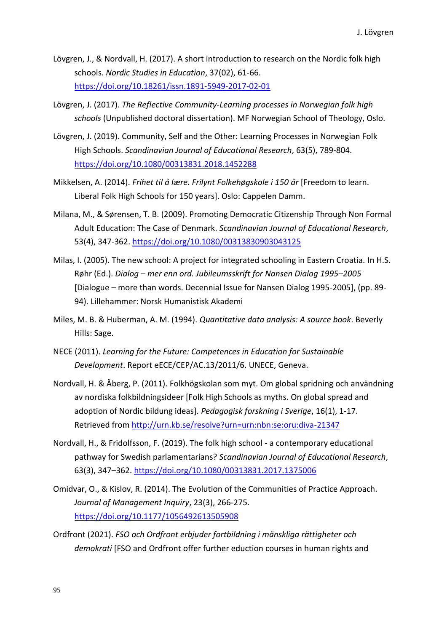- Lövgren, J., & Nordvall, H. (2017). A short introduction to research on the Nordic folk high schools. *Nordic Studies in Education*, 37(02), 61-66. <https://doi.org/10.18261/issn.1891-5949-2017-02-01>
- Lövgren, J. (2017). *The Reflective Community-Learning processes in Norwegian folk high schools* (Unpublished doctoral dissertation). MF Norwegian School of Theology, Oslo.
- Lövgren, J. (2019). Community, Self and the Other: Learning Processes in Norwegian Folk High Schools. *Scandinavian Journal of Educational Research*, 63(5), 789-804. <https://doi.org/10.1080/00313831.2018.1452288>
- Mikkelsen, A. (2014). *Frihet til å lære. Frilynt Folkehøgskole i 150 år* [Freedom to learn. Liberal Folk High Schools for 150 years]. Oslo: Cappelen Damm.
- Milana, M., & Sørensen, T. B. (2009). Promoting Democratic Citizenship Through Non Formal Adult Education: The Case of Denmark. *Scandinavian Journal of Educational Research*, 53(4), 347-362. <https://doi.org/10.1080/00313830903043125>
- Milas, I. (2005). The new school: A project for integrated schooling in Eastern Croatia. In H.S. Røhr (Ed.). *Dialog – mer enn ord. Jubileumsskrift for Nansen Dialog 1995–2005* [Dialogue – more than words. Decennial Issue for Nansen Dialog 1995-2005], (pp. 89- 94). Lillehammer: Norsk Humanistisk Akademi
- Miles, M. B. & Huberman, A. M. (1994). *Quantitative data analysis: A source book*. Beverly Hills: Sage.
- NECE (2011). *Learning for the Future: Competences in Education for Sustainable Development*. Report eECE/CEP/AC.13/2011/6. UNECE, Geneva.
- Nordvall, H. & Åberg, P. (2011). Folkhögskolan som myt. Om global spridning och användning av nordiska folkbildningsideer [Folk High Schools as myths. On global spread and adoption of Nordic bildung ideas]. *Pedagogisk forskning i Sverige*, 16(1), 1-17. Retrieved from<http://urn.kb.se/resolve?urn=urn:nbn:se:oru:diva-21347>
- Nordvall, H., & Fridolfsson, F. (2019). The folk high school a contemporary educational pathway for Swedish parlamentarians? *Scandinavian Journal of Educational Research*, 63(3), 347–362.<https://doi.org/10.1080/00313831.2017.1375006>
- Omidvar, O., & Kislov, R. (2014). The Evolution of the Communities of Practice Approach. *Journal of Management Inquiry*, 23(3), 266-275. <https://doi.org/10.1177/1056492613505908>
- Ordfront (2021). *FSO och Ordfront erbjuder fortbildning i mänskliga rättigheter och demokrati* [FSO and Ordfront offer further eduction courses in human rights and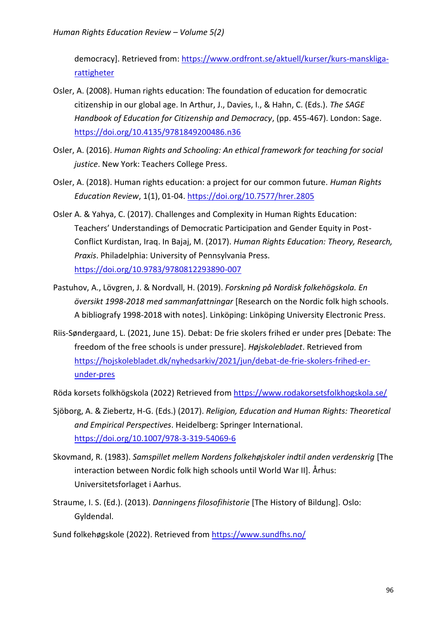democracy]. Retrieved from: [https://www.ordfront.se/aktuell/kurser/kurs-manskliga](https://www.ordfront.se/aktuell/kurser/kurs-manskliga-rattigheter)[rattigheter](https://www.ordfront.se/aktuell/kurser/kurs-manskliga-rattigheter) 

- Osler, A. (2008). Human rights education: The foundation of education for democratic citizenship in our global age. In Arthur, J., Davies, I., & Hahn, C. (Eds.). *The SAGE Handbook of Education for Citizenship and Democracy*, (pp. 455-467). London: Sage. <https://doi.org/10.4135/9781849200486.n36>
- Osler, A. (2016). *Human Rights and Schooling: An ethical framework for teaching for social justice*. New York: Teachers College Press.
- Osler, A. (2018). Human rights education: a project for our common future. *Human Rights Education Review*, 1(1), 01-04. <https://doi.org/10.7577/hrer.2805>
- Osler A. & Yahya, C. (2017). Challenges and Complexity in Human Rights Education: Teachers' Understandings of Democratic Participation and Gender Equity in Post-Conflict Kurdistan, Iraq. In Bajaj, M. (2017). *Human Rights Education: Theory, Research, Praxis*. Philadelphia: University of Pennsylvania Press. <https://doi.org/10.9783/9780812293890-007>
- Pastuhov, A., Lövgren, J. & Nordvall, H. (2019). *Forskning på Nordisk folkehögskola. En översikt 1998-2018 med sammanfattningar* [Research on the Nordic folk high schools. A bibliografy 1998-2018 with notes]. Linköping: Linköping University Electronic Press.
- Riis-Søndergaard, L. (2021, June 15). Debat: De frie skolers frihed er under pres [Debate: The freedom of the free schools is under pressure]. *Højskolebladet*. Retrieved from [https://hojskolebladet.dk/nyhedsarkiv/2021/jun/debat-de-frie-skolers-frihed-er](https://hojskolebladet.dk/nyhedsarkiv/2021/jun/debat-de-frie-skolers-frihed-er-under-pres)[under-pres](https://hojskolebladet.dk/nyhedsarkiv/2021/jun/debat-de-frie-skolers-frihed-er-under-pres)

Röda korsets folkhögskola (2022) Retrieved from<https://www.rodakorsetsfolkhogskola.se/>

- Sjöborg, A. & Ziebertz, H-G. (Eds.) (2017). *Religion, Education and Human Rights: Theoretical and Empirical Perspectives*. Heidelberg: Springer International. <https://doi.org/10.1007/978-3-319-54069-6>
- Skovmand, R. (1983). *Samspillet mellem Nordens folkehøjskoler indtil anden verdenskrig* [The interaction between Nordic folk high schools until World War II]. Århus: Universitetsforlaget i Aarhus.
- Straume, I. S. (Ed.). (2013). *Danningens filosofihistorie* [The History of Bildung]. Oslo: Gyldendal.
- Sund folkehøgskole (2022). Retrieved from<https://www.sundfhs.no/>